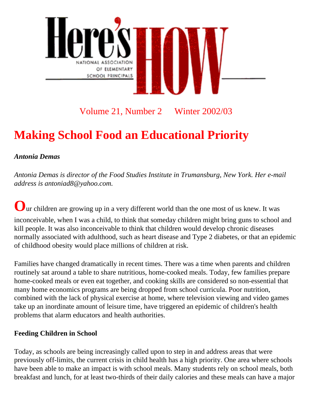

### Volume 21, Number 2 Winter 2002/03

# **Making School Food an Educational Priority**

### *Antonia Demas*

*Antonia Demas is director of the Food Studies Institute in Trumansburg, New York. Her e-mail address is antoniad8@yahoo.com.*

**O**ur children are growing up in a very different world than the one most of us knew. It was inconceivable, when I was a child, to think that someday children might bring guns to school and kill people. It was also inconceivable to think that children would develop chronic diseases normally associated with adulthood, such as heart disease and Type 2 diabetes, or that an epidemic of childhood obesity would place millions of children at risk.

Families have changed dramatically in recent times. There was a time when parents and children routinely sat around a table to share nutritious, home-cooked meals. Today, few families prepare home-cooked meals or even eat together, and cooking skills are considered so non-essential that many home economics programs are being dropped from school curricula. Poor nutrition, combined with the lack of physical exercise at home, where television viewing and video games take up an inordinate amount of leisure time, have triggered an epidemic of children's health problems that alarm educators and health authorities.

#### **Feeding Children in School**

Today, as schools are being increasingly called upon to step in and address areas that were previously off-limits, the current crisis in child health has a high priority. One area where schools have been able to make an impact is with school meals. Many students rely on school meals, both breakfast and lunch, for at least two-thirds of their daily calories and these meals can have a major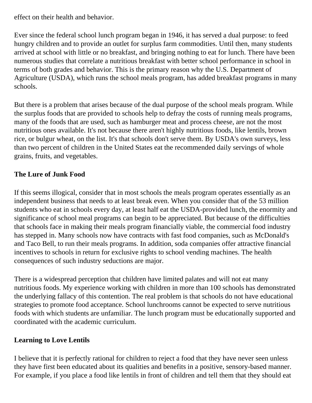effect on their health and behavior.

Ever since the federal school lunch program began in 1946, it has served a dual purpose: to feed hungry children and to provide an outlet for surplus farm commodities. Until then, many students arrived at school with little or no breakfast, and bringing nothing to eat for lunch. There have been numerous studies that correlate a nutritious breakfast with better school performance in school in terms of both grades and behavior. This is the primary reason why the U.S. Department of Agriculture (USDA), which runs the school meals program, has added breakfast programs in many schools.

But there is a problem that arises because of the dual purpose of the school meals program. While the surplus foods that are provided to schools help to defray the costs of running meals programs, many of the foods that are used, such as hamburger meat and process cheese, are not the most nutritious ones available. It's not because there aren't highly nutritious foods, like lentils, brown rice, or bulgur wheat, on the list. It's that schools don't serve them. By USDA's own surveys, less than two percent of children in the United States eat the recommended daily servings of whole grains, fruits, and vegetables.

### **The Lure of Junk Food**

If this seems illogical, consider that in most schools the meals program operates essentially as an independent business that needs to at least break even. When you consider that of the 53 million students who eat in schools every day, at least half eat the USDA-provided lunch, the enormity and significance of school meal programs can begin to be appreciated. But because of the difficulties that schools face in making their meals program financially viable, the commercial food industry has stepped in. Many schools now have contracts with fast food companies, such as McDonald's and Taco Bell, to run their meals programs. In addition, soda companies offer attractive financial incentives to schools in return for exclusive rights to school vending machines. The health consequences of such industry seductions are major.

There is a widespread perception that children have limited palates and will not eat many nutritious foods. My experience working with children in more than 100 schools has demonstrated the underlying fallacy of this contention. The real problem is that schools do not have educational strategies to promote food acceptance. School lunchrooms cannot be expected to serve nutritious foods with which students are unfamiliar. The lunch program must be educationally supported and coordinated with the academic curriculum.

### **Learning to Love Lentils**

I believe that it is perfectly rational for children to reject a food that they have never seen unless they have first been educated about its qualities and benefits in a positive, sensory-based manner. For example, if you place a food like lentils in front of children and tell them that they should eat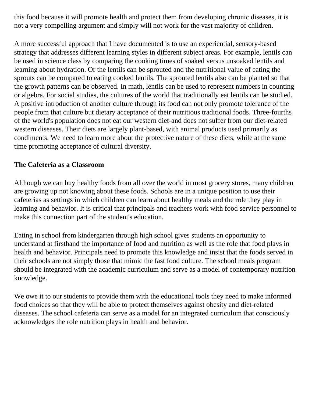this food because it will promote health and protect them from developing chronic diseases, it is not a very compelling argument and simply will not work for the vast majority of children.

A more successful approach that I have documented is to use an experiential, sensory-based strategy that addresses different learning styles in different subject areas. For example, lentils can be used in science class by comparing the cooking times of soaked versus unsoaked lentils and learning about hydration. Or the lentils can be sprouted and the nutritional value of eating the sprouts can be compared to eating cooked lentils. The sprouted lentils also can be planted so that the growth patterns can be observed. In math, lentils can be used to represent numbers in counting or algebra. For social studies, the cultures of the world that traditionally eat lentils can be studied. A positive introduction of another culture through its food can not only promote tolerance of the people from that culture but dietary acceptance of their nutritious traditional foods. Three-fourths of the world's population does not eat our western diet-and does not suffer from our diet-related western diseases. Their diets are largely plant-based, with animal products used primarily as condiments. We need to learn more about the protective nature of these diets, while at the same time promoting acceptance of cultural diversity.

### **The Cafeteria as a Classroom**

Although we can buy healthy foods from all over the world in most grocery stores, many children are growing up not knowing about these foods. Schools are in a unique position to use their cafeterias as settings in which children can learn about healthy meals and the role they play in learning and behavior. It is critical that principals and teachers work with food service personnel to make this connection part of the student's education.

Eating in school from kindergarten through high school gives students an opportunity to understand at firsthand the importance of food and nutrition as well as the role that food plays in health and behavior. Principals need to promote this knowledge and insist that the foods served in their schools are not simply those that mimic the fast food culture. The school meals program should be integrated with the academic curriculum and serve as a model of contemporary nutrition knowledge.

We owe it to our students to provide them with the educational tools they need to make informed food choices so that they will be able to protect themselves against obesity and diet-related diseases. The school cafeteria can serve as a model for an integrated curriculum that consciously acknowledges the role nutrition plays in health and behavior.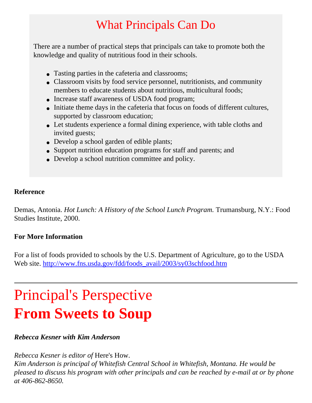## What Principals Can Do

There are a number of practical steps that principals can take to promote both the knowledge and quality of nutritious food in their schools.

- Tasting parties in the cafeteria and classrooms;
- Classroom visits by food service personnel, nutritionists, and community members to educate students about nutritious, multicultural foods;
- Increase staff awareness of USDA food program;
- Initiate theme days in the cafeteria that focus on foods of different cultures, supported by classroom education;
- Let students experience a formal dining experience, with table cloths and invited guests;
- Develop a school garden of edible plants;
- Support nutrition education programs for staff and parents; and
- Develop a school nutrition committee and policy.

### **Reference**

Demas, Antonia. *Hot Lunch: A History of the School Lunch Program.* Trumansburg, N.Y.: Food Studies Institute, 2000.

### **For More Information**

For a list of foods provided to schools by the U.S. Department of Agriculture, go to the USDA Web site. [http://www.fns.usda.gov/fdd/foods\\_avail/2003/sy03schfood.htm](http://www.fns.usda.gov/fdd/foods_avail/2003/sy03schfood.htm)

# Principal's Perspective **From Sweets to Soup**

### *Rebecca Kesner with Kim Anderson*

*Rebecca Kesner is editor of* Here's How.

*Kim Anderson is principal of Whitefish Central School in Whitefish, Montana. He would be pleased to discuss his program with other principals and can be reached by e-mail at or by phone at 406-862-8650.*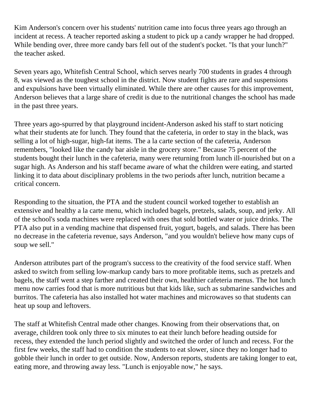Kim Anderson's concern over his students' nutrition came into focus three years ago through an incident at recess. A teacher reported asking a student to pick up a candy wrapper he had dropped. While bending over, three more candy bars fell out of the student's pocket. "Is that your lunch?" the teacher asked.

Seven years ago, Whitefish Central School, which serves nearly 700 students in grades 4 through 8, was viewed as the toughest school in the district. Now student fights are rare and suspensions and expulsions have been virtually eliminated. While there are other causes for this improvement, Anderson believes that a large share of credit is due to the nutritional changes the school has made in the past three years.

Three years ago-spurred by that playground incident-Anderson asked his staff to start noticing what their students ate for lunch. They found that the cafeteria, in order to stay in the black, was selling a lot of high-sugar, high-fat items. The a la carte section of the cafeteria, Anderson remembers, "looked like the candy bar aisle in the grocery store." Because 75 percent of the students bought their lunch in the cafeteria, many were returning from lunch ill-nourished but on a sugar high. As Anderson and his staff became aware of what the children were eating, and started linking it to data about disciplinary problems in the two periods after lunch, nutrition became a critical concern.

Responding to the situation, the PTA and the student council worked together to establish an extensive and healthy a la carte menu, which included bagels, pretzels, salads, soup, and jerky. All of the school's soda machines were replaced with ones that sold bottled water or juice drinks. The PTA also put in a vending machine that dispensed fruit, yogurt, bagels, and salads. There has been no decrease in the cafeteria revenue, says Anderson, "and you wouldn't believe how many cups of soup we sell."

Anderson attributes part of the program's success to the creativity of the food service staff. When asked to switch from selling low-markup candy bars to more profitable items, such as pretzels and bagels, the staff went a step farther and created their own, healthier cafeteria menus. The hot lunch menu now carries food that is more nutritious but that kids like, such as submarine sandwiches and burritos. The cafeteria has also installed hot water machines and microwaves so that students can heat up soup and leftovers.

The staff at Whitefish Central made other changes. Knowing from their observations that, on average, children took only three to six minutes to eat their lunch before heading outside for recess, they extended the lunch period slightly and switched the order of lunch and recess. For the first few weeks, the staff had to condition the students to eat slower, since they no longer had to gobble their lunch in order to get outside. Now, Anderson reports, students are taking longer to eat, eating more, and throwing away less. "Lunch is enjoyable now," he says.